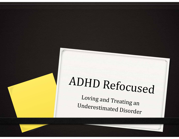# ADHD Refocused

Loving and Treating an Underestimated Disorder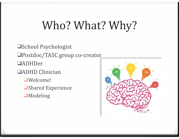# Who? What? Why?

❑School Psychologist □Postdoc/TASC group co-creator ❑ADHDer ❑ADHD Clinician ❑Welcome! **□Shared Experience** 

❑Modeling

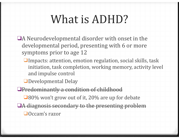# What is ADHD?

- $\Box$ A Neurodevelopmental disorder with onset in the developmental period, presenting with 6 or more symptoms prior to age 12
	- $\Box$ Impacts: attention, emotion regulation, social skills, task initiation, task completion, working memory, activity level and impulse control
	- ■Developmental Delay
- **OPredominantly a condition of childhood** 
	- $\square$ 80% won't grow out of it, 20% are up for debate
- □A diagnosis secondary to the presenting problem ■Occam's razor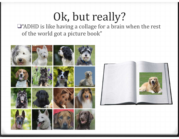# Ok, but really?

 $\square$ "ADHD is like having a collage for a brain when the rest of the world got a picture book"

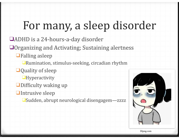## For many, a sleep disorder

□ADHD is a 24-hours-a-day disorder

□Organizing and Activating; Sustaining alertness

 $\Box$ Falling asleep

 $\Box$ Rumination, stimulus-seeking, circadian rhythm

- $\Box$ Quality of sleep
	- Hyperactivity
- $\Box$ Difficulty waking up
- **□Intrusive sleep**

**□Sudden, abrupt neurological disengagem—zzzz** 



Dlpng.com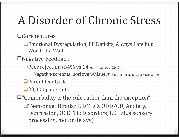# A Disorder of Chronic Stress

□Core features

□Emotional Dysregulation, EF Deficits, Always Late but Worth the Wait

□Negative Feedback

 $\Box$  Peer rejection (54% vs 14%, Mrug, et al 2012)

■Negative screams, positive whispers (van Meel, et al. 2005; Babinski 2019)

 $\Box$  Parent feedback

□20,000 papercuts

 $\Box$ "Comorbidity is the rule rather than the exception"

□Teen-onset Bipolar I, DMDD, ODD/CD, Anxiety, Depression, OCD, Tic Disorders, LD (plus sensory processing, motor delays)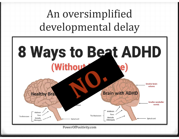An oversimplified developmental delay

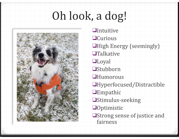# Oh look, a dog!



❑Intuitive ❑Curious **QHigh Energy (seemingly)** ❑Talkative ❑Loyal ❑Stubborn ❑Humorous ❑Hyperfocused/Distractible ❑Empathic ❑Stimulus-seeking ❑Optimistic □Strong sense of justice and fairness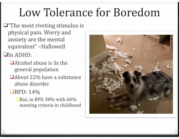# Low Tolerance for Boredom

- $\Box$ "The most riveting stimulus is physical pain. Worry and anxiety are the mental equivalent" -Hallowell
- ❑In ADHD:
	- $\Box$ Alcohol abuse is  $3x$  the general population
	- □ About 22% have a substance abuse disorder
	- $\Box$ BPD: 14%
		- $\Box$ But, in BPD 38% with 60% meeting criteria in childhood

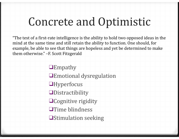#### Concrete and Optimistic

"The test of a first-rate intelligence is the ability to hold two opposed ideas in the mind at the same time and still retain the ability to function. One should, for example, be able to see that things are hopeless and yet be determined to make them otherwise." -F. Scott Fitzgerald

> ❑Empathy □Emotional dysregulation ❑Hyperfocus ❑Distractibility □Cognitive rigidity **□Time blindness □Stimulation seeking**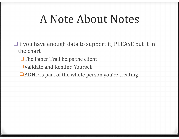### A Note About Notes

- $\Box$ If you have enough data to support it, PLEASE put it in the chart
	- $\Box$  The Paper Trail helps the client
	- □Validate and Remind Yourself
	- $\Box$ ADHD is part of the whole person you're treating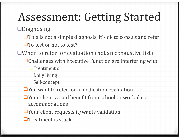# Assessment: Getting Started

❑Diagnosing 

- $\Box$ This is not a simple diagnosis, it's ok to consult and refer
- □To test or not to test?
- $\Box$ When to refer for evaluation (not an exhaustive list)
	- $\Box$ Challenges with Executive Function are interfering with:
		- $\Box$ Treatment or
		- ❑Daily living
		- ❑Self-concept
	- $\Box$  You want to refer for a medication evaluation
	- Your client would benefit from school or workplace accommodations
	- $\Box$  Your client requests it/wants validation
	- $\blacksquare$  Treatment is stuck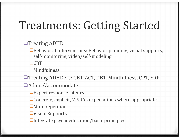#### Treatments: Getting Started

#### □Treating ADHD

**□Behavioral Interventions: Behavior planning, visual supports,** self-monitoring, video/self-modeling

❑CBT 

❑Mindfulness 

□Treating ADHDers: CBT, ACT, DBT, Mindfulness, CPT, ERP

❑Adapt/Accommodate 

**□Expect response latency** 

**□Concrete, explicit, VISUAL expectations where appropriate** 

**U**More repetition

❑Visual Supports 

 $\Box$ Integrate psychoeducation/basic principles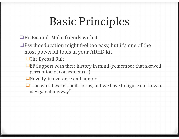## Basic Principles

- $\Box$  Be Excited. Make friends with it.
- $\Box$ Psychoeducation might feel too easy, but it's one of the most powerful tools in your ADHD kit
	- □The Eyeball Rule
	- $\Box$ EF Support with their history in mind (remember that skewed perception of consequences)
	- □Novelty, irreverence and humor
	- $\Box$ "The world wasn't built for us, but we have to figure out how to navigate it anyway"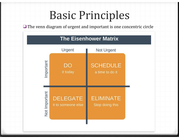#### Basic Principles

 $\Box$  The venn diagram of urgent and important is one concentric circle

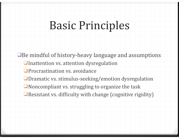#### Basic Principles

 $\Box$ Be mindful of history-heavy language and assumptions □Inattention vs. attention dysregulation □ Procrastination vs. avoidance □Dramatic vs. stimulus-seeking/emotion dysregulation  $\Box$ Noncompliant vs. struggling to organize the task  $\Box$  Resistant vs. difficulty with change (cognitive rigidity)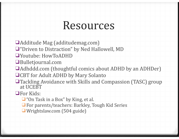#### Resources

 $\Box$ Additude Mag (additudemag.com)

□ "Driven to Distraction" by Ned Hallowell, MD

- □Youtube: HowToADHD
- ❑Bulletjournal.com
- □Adhddd.com (thoughtful comics about ADHD by an ADHDer)
- □CBT for Adult ADHD by Mary Solanto
- □Tackling Avoidance with Skills and Compassion (TASC) group at UCEBT

□For Kids:

- $\Box$  "On Task in a Box" by King, et al.
- □ For parents/teachers: Barkley, Tough Kid Series
- □ Wrightslaw.com (504 guide)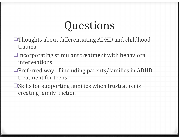### Questions

- □Thoughts about differentiating ADHD and childhood trauma
- $\Box$ Incorporating stimulant treatment with behavioral interventions
- $\Box$ Preferred way of including parents/families in ADHD treatment for teens
- $\Box$ Skills for supporting families when frustration is creating family friction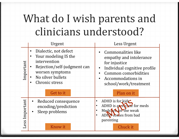# What do I wish parents and clinicians understood?

| Urgent                                                                                                                                                                                               | Less Urgent                                                                                                                                                                                      |
|------------------------------------------------------------------------------------------------------------------------------------------------------------------------------------------------------|--------------------------------------------------------------------------------------------------------------------------------------------------------------------------------------------------|
| Dialectic, not defect<br>$\bullet$<br>Your modeling IS the<br>intervention<br>Important<br>Rejection/self-judgment can<br>worsen symptoms<br>No silver bullets<br><b>Chronic stress</b><br>Get to it | Commonalities like<br>empathy and intolerance<br>for injustice<br>Individual cognitive profile<br><b>Common comorbidities</b><br><b>Accommodations in</b><br>school/work/treatment<br>Plan on it |
| Important<br>• Reduced consequence<br>encoding/prediction<br>Sleep problems<br>$\bullet$<br>ess<br>Know it                                                                                           | ADHD is for kids<br>ADHD is an excuse for meds<br>Meds are for the weak<br>ADHD comes from bad<br>parenting<br>Chuck it                                                                          |